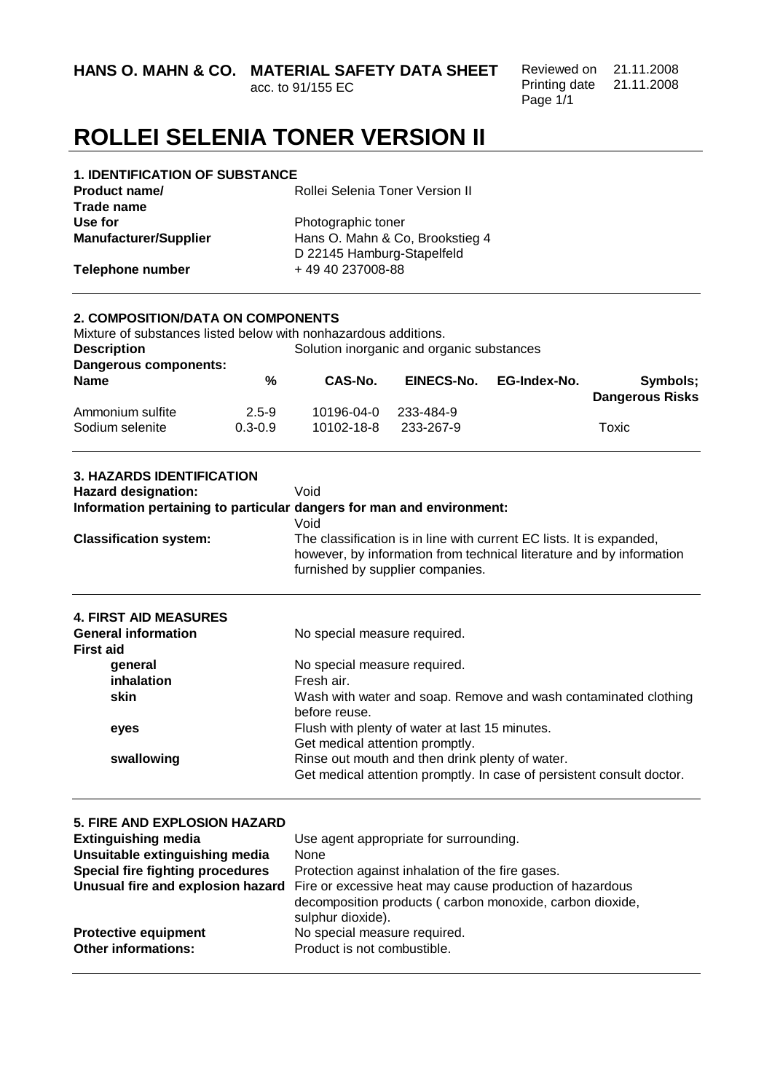**HANS O. MAHN & CO. MATERIAL SAFETY DATA SHEET** 

acc. to 91/155 EC

Reviewed on 21.11.2008 Printing date 21.11.2008 Page 1/1

# **ROLLEI SELENIA TONER VERSION II**

| <b>1. IDENTIFICATION OF SUBSTANCE</b> |                                 |
|---------------------------------------|---------------------------------|
| <b>Product name/</b>                  | Rollei Selenia Toner Version II |
| Trade name                            |                                 |
| Use for                               | Photographic toner              |
| <b>Manufacturer/Supplier</b>          | Hans O. Mahn & Co, Brookstieg 4 |
|                                       | D 22145 Hamburg-Stapelfeld      |
| Telephone number                      | +49 40 237008-88                |
|                                       |                                 |

### **2. COMPOSITION/DATA ON COMPONENTS**

| Mixture of substances listed below with nonhazardous additions. |             |            |                                           |              |                        |
|-----------------------------------------------------------------|-------------|------------|-------------------------------------------|--------------|------------------------|
| <b>Description</b>                                              |             |            | Solution inorganic and organic substances |              |                        |
| Dangerous components:                                           |             |            |                                           |              |                        |
| <b>Name</b>                                                     | %           | CAS-No.    | EINECS-No.                                | EG-Index-No. | Symbols;               |
|                                                                 |             |            |                                           |              | <b>Dangerous Risks</b> |
| Ammonium sulfite                                                | $2.5 - 9$   | 10196-04-0 | 233-484-9                                 |              |                        |
| Sodium selenite                                                 | $0.3 - 0.9$ | 10102-18-8 | 233-267-9                                 |              | Toxic                  |
|                                                                 |             |            |                                           |              |                        |

| <b>3. HAZARDS IDENTIFICATION</b><br><b>Hazard designation:</b> | Void<br>Information pertaining to particular dangers for man and environment:<br>Void                                                                                            |
|----------------------------------------------------------------|----------------------------------------------------------------------------------------------------------------------------------------------------------------------------------|
| <b>Classification system:</b>                                  | The classification is in line with current EC lists. It is expanded,<br>however, by information from technical literature and by information<br>furnished by supplier companies. |
| <b>4. FIRST AID MEASURES</b>                                   |                                                                                                                                                                                  |
| <b>General information</b>                                     | No special measure required.                                                                                                                                                     |
| <b>First aid</b>                                               |                                                                                                                                                                                  |
| general                                                        | No special measure required.                                                                                                                                                     |
| inhalation                                                     | Fresh air.                                                                                                                                                                       |
| skin                                                           | Wash with water and soap. Remove and wash contaminated clothing<br>before reuse.                                                                                                 |
| eyes                                                           | Flush with plenty of water at last 15 minutes.                                                                                                                                   |
|                                                                | Get medical attention promptly.                                                                                                                                                  |
| swallowing                                                     | Rinse out mouth and then drink plenty of water.                                                                                                                                  |
|                                                                | Get medical attention promptly. In case of persistent consult doctor.                                                                                                            |
|                                                                |                                                                                                                                                                                  |

| <b>5. FIRE AND EXPLOSION HAZARD</b>                       |                                                                                                                                           |
|-----------------------------------------------------------|-------------------------------------------------------------------------------------------------------------------------------------------|
| <b>Extinguishing media</b>                                | Use agent appropriate for surrounding.                                                                                                    |
| Unsuitable extinguishing media                            | None                                                                                                                                      |
| <b>Special fire fighting procedures</b>                   | Protection against inhalation of the fire gases.                                                                                          |
| Unusual fire and explosion hazard                         | Fire or excessive heat may cause production of hazardous<br>decomposition products (carbon monoxide, carbon dioxide,<br>sulphur dioxide). |
| <b>Protective equipment</b><br><b>Other informations:</b> | No special measure required.<br>Product is not combustible.                                                                               |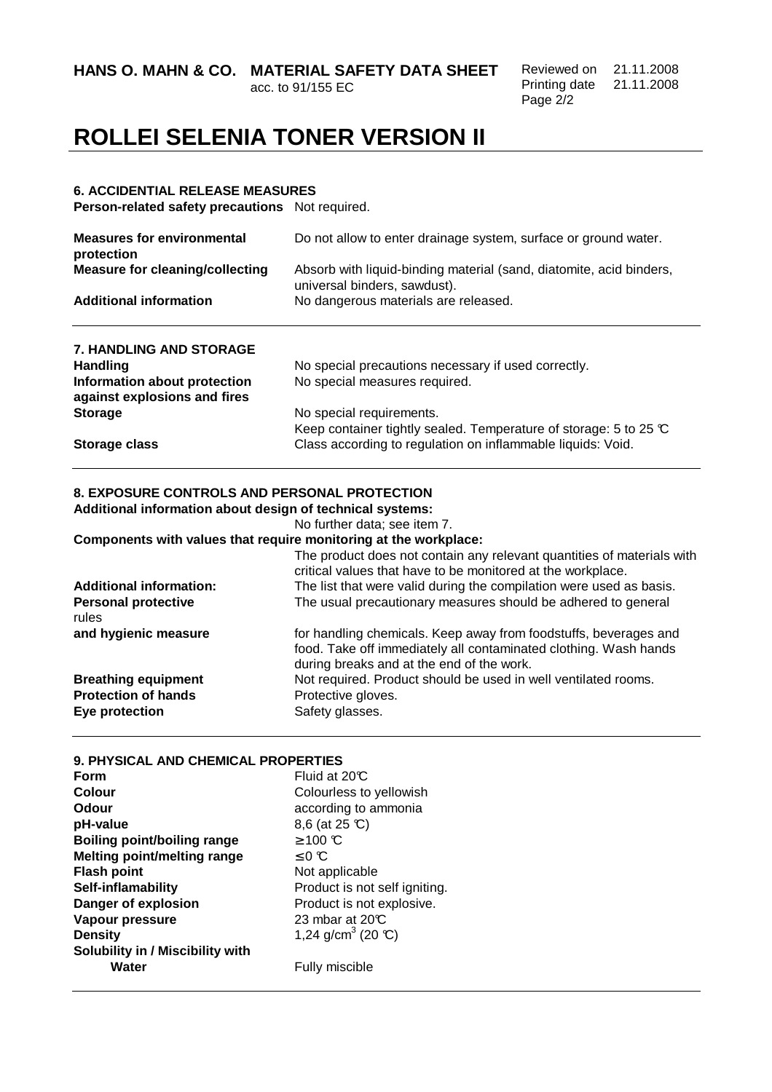**HANS O. MAHN & CO. MATERIAL SAFETY DATA SHEET** 

acc. to 91/155 EC

Reviewed on 21.11.2008 Printing date 21.11.2008 Page 2/2

## **ROLLEI SELENIA TONER VERSION II**

#### **6. ACCIDENTIAL RELEASE MEASURES**

**Person-related safety precautions** Not required.

| <b>Measures for environmental</b><br>protection              | Do not allow to enter drainage system, surface or ground water.                                     |  |  |
|--------------------------------------------------------------|-----------------------------------------------------------------------------------------------------|--|--|
| <b>Measure for cleaning/collecting</b>                       | Absorb with liquid-binding material (sand, diatomite, acid binders,<br>universal binders, sawdust). |  |  |
| <b>Additional information</b>                                | No dangerous materials are released.                                                                |  |  |
| <b>7. HANDLING AND STORAGE</b>                               |                                                                                                     |  |  |
| <b>Handling</b>                                              | No special precautions necessary if used correctly.                                                 |  |  |
| Information about protection<br>against explosions and fires | No special measures required.                                                                       |  |  |
| <b>Storage</b>                                               | No special requirements.                                                                            |  |  |
|                                                              | Keep container tightly sealed. Temperature of storage: 5 to 25 °C                                   |  |  |
| Storage class                                                | Class according to regulation on inflammable liquids: Void.                                         |  |  |

### **8. EXPOSURE CONTROLS AND PERSONAL PROTECTION**

**Additional information about design of technical systems:** 

No further data; see item 7.

### **Components with values that require monitoring at the workplace:**

| <b>Additional information:</b>      | The product does not contain any relevant quantities of materials with<br>critical values that have to be monitored at the workplace.<br>The list that were valid during the compilation were used as basis. |
|-------------------------------------|--------------------------------------------------------------------------------------------------------------------------------------------------------------------------------------------------------------|
|                                     |                                                                                                                                                                                                              |
| <b>Personal protective</b><br>rules | The usual precautionary measures should be adhered to general                                                                                                                                                |
| and hygienic measure                | for handling chemicals. Keep away from foodstuffs, beverages and<br>food. Take off immediately all contaminated clothing. Wash hands<br>during breaks and at the end of the work.                            |
| <b>Breathing equipment</b>          | Not required. Product should be used in well ventilated rooms.                                                                                                                                               |
| <b>Protection of hands</b>          | Protective gloves.                                                                                                                                                                                           |
| Eye protection                      | Safety glasses.                                                                                                                                                                                              |

| 9. PHYSICAL AND CHEMICAL PROPERTIES |
|-------------------------------------|
| Fluid at $20C$                      |
| Colourless to yellowish             |
| according to ammonia                |
| 8,6 (at 25 °C)                      |
| $≥$ 100 ℃                           |
| $\leq 0$ C                          |
| Not applicable                      |
| Product is not self igniting.       |
| Product is not explosive.           |
| 23 mbar at 20°C                     |
| 1,24 g/cm <sup>3</sup> (20 °C)      |
|                                     |
| Fully miscible                      |
|                                     |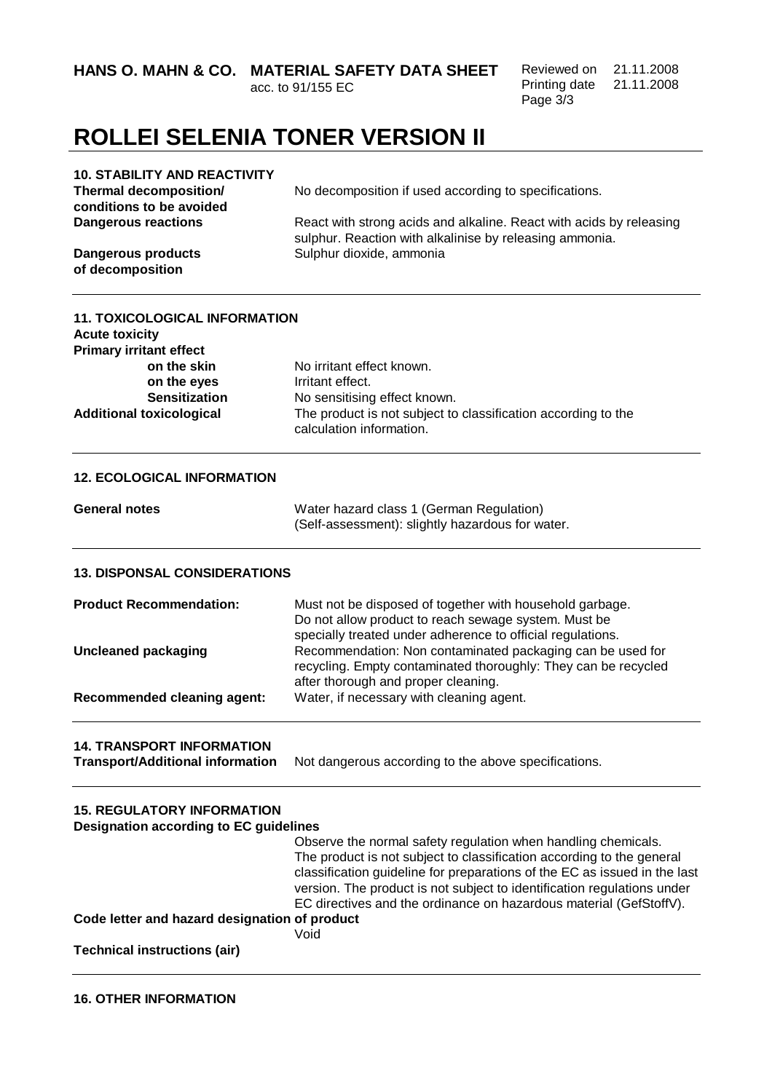**HANS O. MAHN & CO. MATERIAL SAFETY DATA SHEET** 

acc. to 91/155 EC

Reviewed on 21.11.2008 Printing date 21.11.2008 Page 3/3

# **ROLLEI SELENIA TONER VERSION II**

| <b>10. STABILITY AND REACTIVITY</b>                                                |                                                                                                                                                                                                                                                                                                                                                                      |
|------------------------------------------------------------------------------------|----------------------------------------------------------------------------------------------------------------------------------------------------------------------------------------------------------------------------------------------------------------------------------------------------------------------------------------------------------------------|
| <b>Thermal decomposition/</b>                                                      | No decomposition if used according to specifications.                                                                                                                                                                                                                                                                                                                |
| conditions to be avoided                                                           |                                                                                                                                                                                                                                                                                                                                                                      |
| <b>Dangerous reactions</b>                                                         | React with strong acids and alkaline. React with acids by releasing                                                                                                                                                                                                                                                                                                  |
|                                                                                    | sulphur. Reaction with alkalinise by releasing ammonia.                                                                                                                                                                                                                                                                                                              |
| <b>Dangerous products</b><br>of decomposition                                      | Sulphur dioxide, ammonia                                                                                                                                                                                                                                                                                                                                             |
| <b>11. TOXICOLOGICAL INFORMATION</b>                                               |                                                                                                                                                                                                                                                                                                                                                                      |
| <b>Acute toxicity</b><br><b>Primary irritant effect</b>                            |                                                                                                                                                                                                                                                                                                                                                                      |
| on the skin                                                                        | No irritant effect known.                                                                                                                                                                                                                                                                                                                                            |
| on the eyes                                                                        | Irritant effect.                                                                                                                                                                                                                                                                                                                                                     |
| <b>Sensitization</b>                                                               | No sensitising effect known.                                                                                                                                                                                                                                                                                                                                         |
| <b>Additional toxicological</b>                                                    | The product is not subject to classification according to the<br>calculation information.                                                                                                                                                                                                                                                                            |
| <b>12. ECOLOGICAL INFORMATION</b>                                                  |                                                                                                                                                                                                                                                                                                                                                                      |
| <b>General notes</b>                                                               | Water hazard class 1 (German Regulation)<br>(Self-assessment): slightly hazardous for water.                                                                                                                                                                                                                                                                         |
| <b>13. DISPONSAL CONSIDERATIONS</b>                                                |                                                                                                                                                                                                                                                                                                                                                                      |
| <b>Product Recommendation:</b>                                                     | Must not be disposed of together with household garbage.<br>Do not allow product to reach sewage system. Must be<br>specially treated under adherence to official regulations.                                                                                                                                                                                       |
| <b>Uncleaned packaging</b>                                                         | Recommendation: Non contaminated packaging can be used for<br>recycling. Empty contaminated thoroughly: They can be recycled                                                                                                                                                                                                                                         |
| <b>Recommended cleaning agent:</b>                                                 | after thorough and proper cleaning.<br>Water, if necessary with cleaning agent.                                                                                                                                                                                                                                                                                      |
| <b>14. TRANSPORT INFORMATION</b><br><b>Transport/Additional information</b>        | Not dangerous according to the above specifications.                                                                                                                                                                                                                                                                                                                 |
| <b>15. REGULATORY INFORMATION</b><br><b>Designation according to EC guidelines</b> |                                                                                                                                                                                                                                                                                                                                                                      |
|                                                                                    | Observe the normal safety regulation when handling chemicals.<br>The product is not subject to classification according to the general<br>classification guideline for preparations of the EC as issued in the last<br>version. The product is not subject to identification regulations under<br>EC directives and the ordinance on hazardous material (GefStoffV). |
| Code letter and hazard designation of product                                      |                                                                                                                                                                                                                                                                                                                                                                      |
|                                                                                    | Void                                                                                                                                                                                                                                                                                                                                                                 |
| <b>Technical instructions (air)</b>                                                |                                                                                                                                                                                                                                                                                                                                                                      |
|                                                                                    |                                                                                                                                                                                                                                                                                                                                                                      |

**16. OTHER INFORMATION**